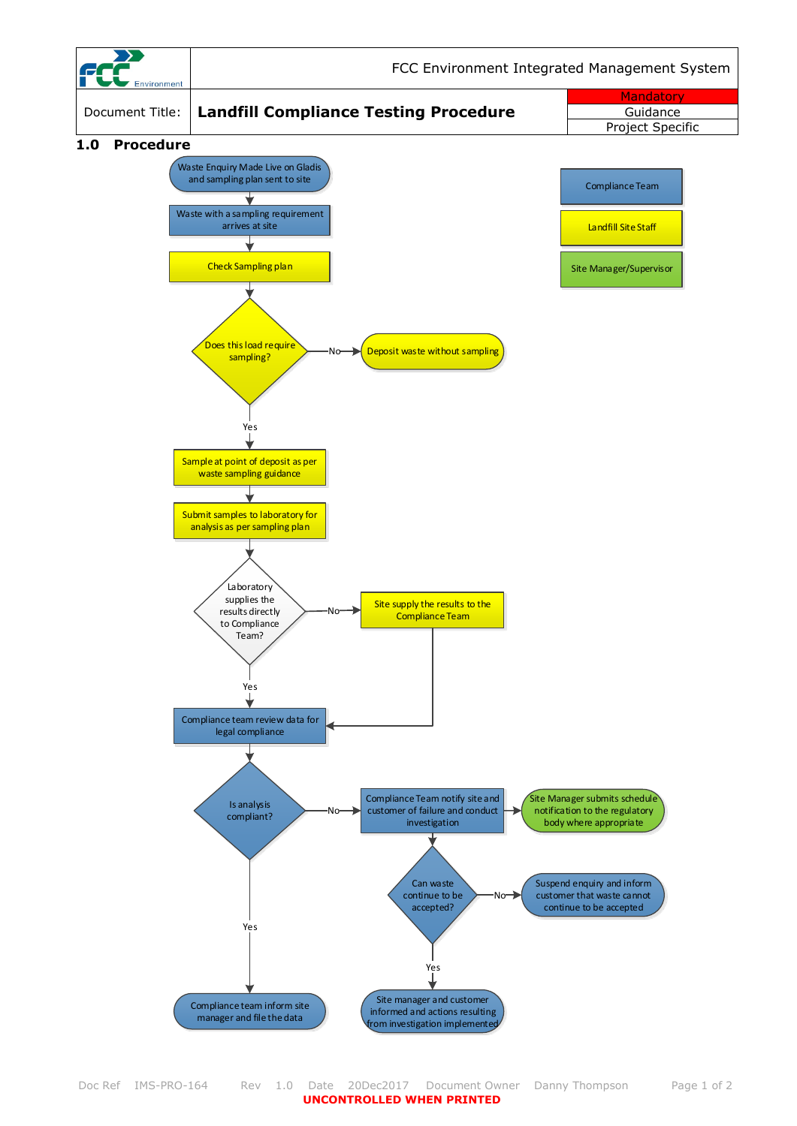